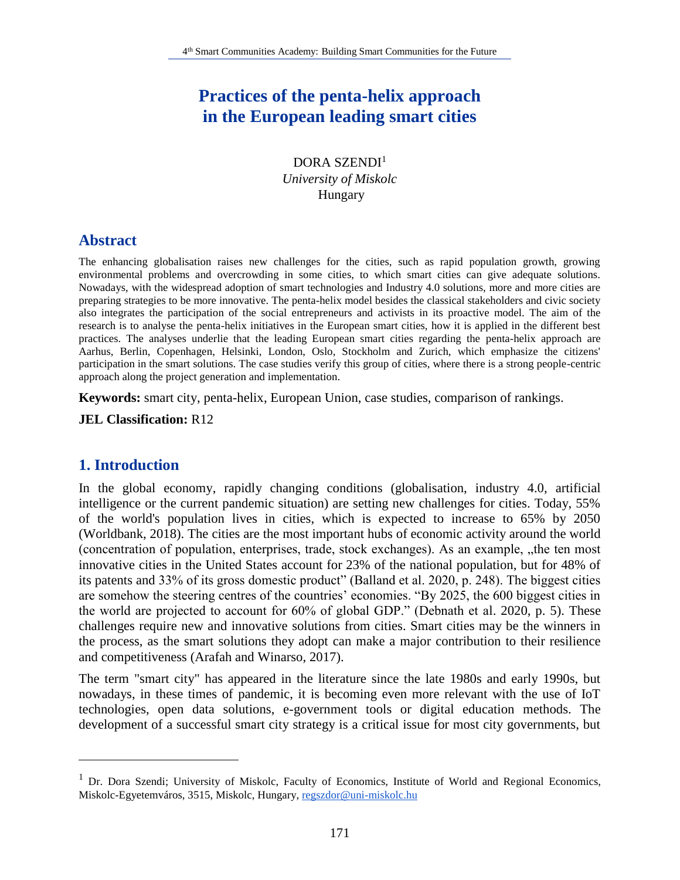# **Practices of the penta-helix approach in the European leading smart cities**

DORA SZENDI<sup>1</sup> *University of Miskolc* Hungary

## **Abstract**

The enhancing globalisation raises new challenges for the cities, such as rapid population growth, growing environmental problems and overcrowding in some cities, to which smart cities can give adequate solutions. Nowadays, with the widespread adoption of smart technologies and Industry 4.0 solutions, more and more cities are preparing strategies to be more innovative. The penta-helix model besides the classical stakeholders and civic society also integrates the participation of the social entrepreneurs and activists in its proactive model. The aim of the research is to analyse the penta-helix initiatives in the European smart cities, how it is applied in the different best practices. The analyses underlie that the leading European smart cities regarding the penta-helix approach are Aarhus, Berlin, Copenhagen, Helsinki, London, Oslo, Stockholm and Zurich, which emphasize the citizens' participation in the smart solutions. The case studies verify this group of cities, where there is a strong people-centric approach along the project generation and implementation.

**Keywords:** smart city, penta-helix, European Union, case studies, comparison of rankings.

**JEL Classification:** R12

#### **1. Introduction**

 $\overline{a}$ 

In the global economy, rapidly changing conditions (globalisation, industry 4.0, artificial intelligence or the current pandemic situation) are setting new challenges for cities. Today, 55% of the world's population lives in cities, which is expected to increase to 65% by 2050 (Worldbank, 2018). The cities are the most important hubs of economic activity around the world (concentration of population, enterprises, trade, stock exchanges). As an example, "the ten most innovative cities in the United States account for 23% of the national population, but for 48% of its patents and 33% of its gross domestic product" (Balland et al. 2020, p. 248). The biggest cities are somehow the steering centres of the countries' economies. "By 2025, the 600 biggest cities in the world are projected to account for 60% of global GDP." (Debnath et al. 2020, p. 5). These challenges require new and innovative solutions from cities. Smart cities may be the winners in the process, as the smart solutions they adopt can make a major contribution to their resilience and competitiveness (Arafah and Winarso, 2017).

The term "smart city" has appeared in the literature since the late 1980s and early 1990s, but nowadays, in these times of pandemic, it is becoming even more relevant with the use of IoT technologies, open data solutions, e-government tools or digital education methods. The development of a successful smart city strategy is a critical issue for most city governments, but

<sup>&</sup>lt;sup>1</sup> Dr. Dora Szendi; University of Miskolc, Faculty of Economics, Institute of World and Regional Economics, Miskolc-Egyetemváros, 3515, Miskolc, Hungary, regszdor@uni-miskolc.hu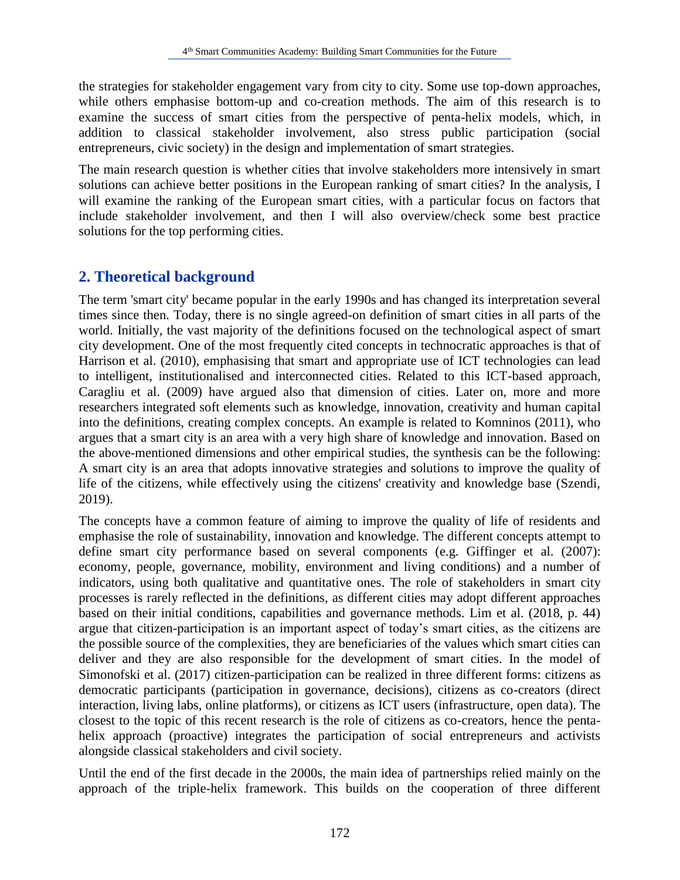the strategies for stakeholder engagement vary from city to city. Some use top-down approaches, while others emphasise bottom-up and co-creation methods. The aim of this research is to examine the success of smart cities from the perspective of penta-helix models, which, in addition to classical stakeholder involvement, also stress public participation (social entrepreneurs, civic society) in the design and implementation of smart strategies.

The main research question is whether cities that involve stakeholders more intensively in smart solutions can achieve better positions in the European ranking of smart cities? In the analysis, I will examine the ranking of the European smart cities, with a particular focus on factors that include stakeholder involvement, and then I will also overview/check some best practice solutions for the top performing cities.

## **2. Theoretical background**

The term 'smart city' became popular in the early 1990s and has changed its interpretation several times since then. Today, there is no single agreed-on definition of smart cities in all parts of the world. Initially, the vast majority of the definitions focused on the technological aspect of smart city development. One of the most frequently cited concepts in technocratic approaches is that of Harrison et al. (2010), emphasising that smart and appropriate use of ICT technologies can lead to intelligent, institutionalised and interconnected cities. Related to this ICT-based approach, Caragliu et al. (2009) have argued also that dimension of cities. Later on, more and more researchers integrated soft elements such as knowledge, innovation, creativity and human capital into the definitions, creating complex concepts. An example is related to Komninos (2011), who argues that a smart city is an area with a very high share of knowledge and innovation. Based on the above-mentioned dimensions and other empirical studies, the synthesis can be the following: A smart city is an area that adopts innovative strategies and solutions to improve the quality of life of the citizens, while effectively using the citizens' creativity and knowledge base (Szendi, 2019).

The concepts have a common feature of aiming to improve the quality of life of residents and emphasise the role of sustainability, innovation and knowledge. The different concepts attempt to define smart city performance based on several components (e.g. Giffinger et al. (2007): economy, people, governance, mobility, environment and living conditions) and a number of indicators, using both qualitative and quantitative ones. The role of stakeholders in smart city processes is rarely reflected in the definitions, as different cities may adopt different approaches based on their initial conditions, capabilities and governance methods. Lim et al. (2018, p. 44) argue that citizen-participation is an important aspect of today's smart cities, as the citizens are the possible source of the complexities, they are beneficiaries of the values which smart cities can deliver and they are also responsible for the development of smart cities. In the model of Simonofski et al. (2017) citizen-participation can be realized in three different forms: citizens as democratic participants (participation in governance, decisions), citizens as co-creators (direct interaction, living labs, online platforms), or citizens as ICT users (infrastructure, open data). The closest to the topic of this recent research is the role of citizens as co-creators, hence the pentahelix approach (proactive) integrates the participation of social entrepreneurs and activists alongside classical stakeholders and civil society.

Until the end of the first decade in the 2000s, the main idea of partnerships relied mainly on the approach of the triple-helix framework. This builds on the cooperation of three different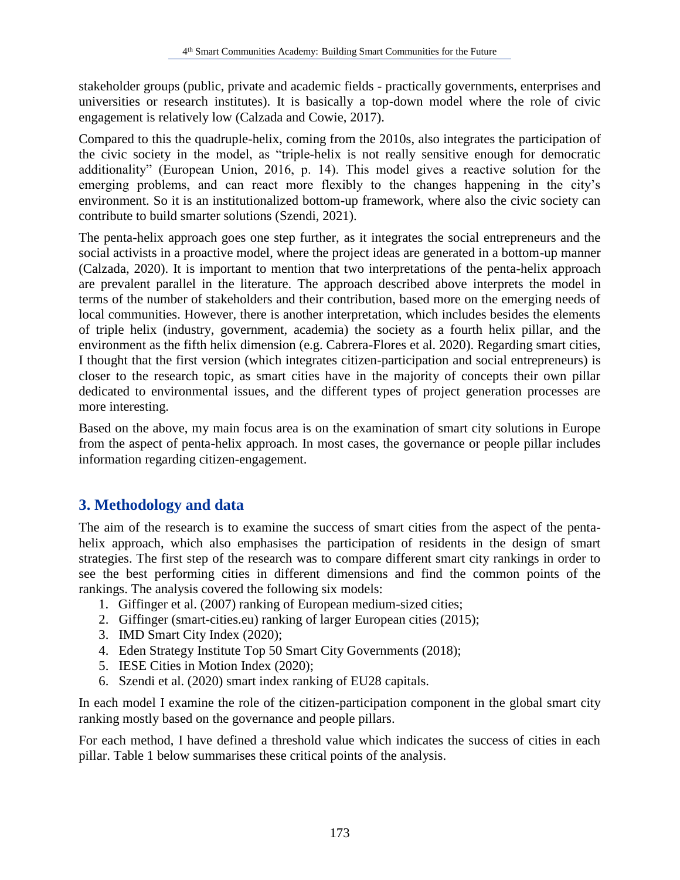stakeholder groups (public, private and academic fields - practically governments, enterprises and universities or research institutes). It is basically a top-down model where the role of civic engagement is relatively low (Calzada and Cowie, 2017).

Compared to this the quadruple-helix, coming from the 2010s, also integrates the participation of the civic society in the model, as "triple-helix is not really sensitive enough for democratic additionality" (European Union, 2016, p. 14). This model gives a reactive solution for the emerging problems, and can react more flexibly to the changes happening in the city's environment. So it is an institutionalized bottom-up framework, where also the civic society can contribute to build smarter solutions (Szendi, 2021).

The penta-helix approach goes one step further, as it integrates the social entrepreneurs and the social activists in a proactive model, where the project ideas are generated in a bottom-up manner (Calzada, 2020). It is important to mention that two interpretations of the penta-helix approach are prevalent parallel in the literature. The approach described above interprets the model in terms of the number of stakeholders and their contribution, based more on the emerging needs of local communities. However, there is another interpretation, which includes besides the elements of triple helix (industry, government, academia) the society as a fourth helix pillar, and the environment as the fifth helix dimension (e.g. Cabrera-Flores et al. 2020). Regarding smart cities, I thought that the first version (which integrates citizen-participation and social entrepreneurs) is closer to the research topic, as smart cities have in the majority of concepts their own pillar dedicated to environmental issues, and the different types of project generation processes are more interesting.

Based on the above, my main focus area is on the examination of smart city solutions in Europe from the aspect of penta-helix approach. In most cases, the governance or people pillar includes information regarding citizen-engagement.

## **3. Methodology and data**

The aim of the research is to examine the success of smart cities from the aspect of the pentahelix approach, which also emphasises the participation of residents in the design of smart strategies. The first step of the research was to compare different smart city rankings in order to see the best performing cities in different dimensions and find the common points of the rankings. The analysis covered the following six models:

- 1. Giffinger et al. (2007) ranking of European medium-sized cities;
- 2. Giffinger (smart-cities.eu) ranking of larger European cities (2015);
- 3. IMD Smart City Index (2020);
- 4. Eden Strategy Institute Top 50 Smart City Governments (2018);
- 5. IESE Cities in Motion Index (2020);
- 6. Szendi et al. (2020) smart index ranking of EU28 capitals.

In each model I examine the role of the citizen-participation component in the global smart city ranking mostly based on the governance and people pillars.

For each method, I have defined a threshold value which indicates the success of cities in each pillar. Table 1 below summarises these critical points of the analysis.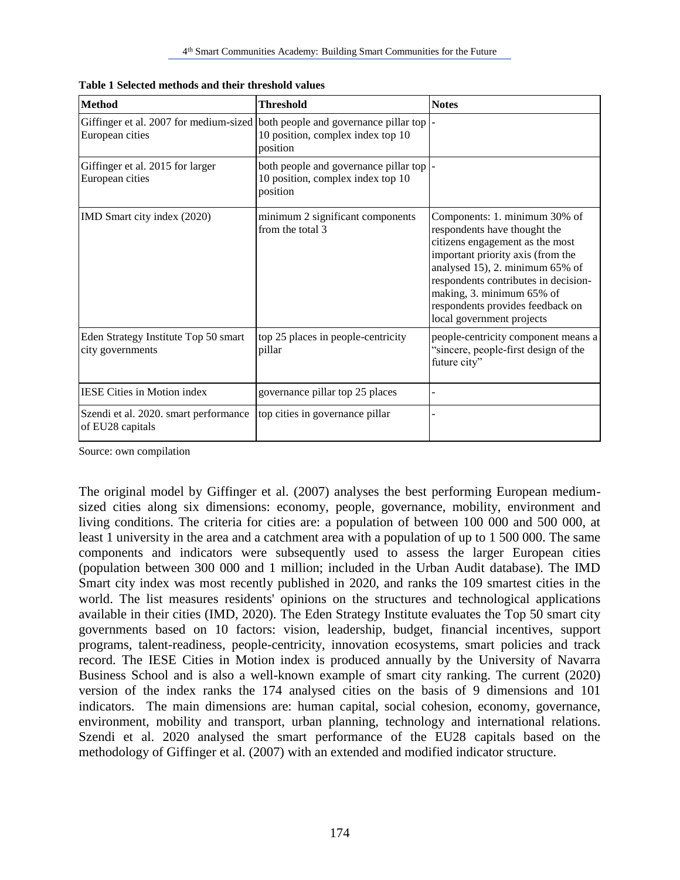| <b>Method</b>                                                                                      | <b>Threshold</b>                                                                          | <b>Notes</b>                                                                                                                                                                                                                                                                                                   |
|----------------------------------------------------------------------------------------------------|-------------------------------------------------------------------------------------------|----------------------------------------------------------------------------------------------------------------------------------------------------------------------------------------------------------------------------------------------------------------------------------------------------------------|
| Giffinger et al. 2007 for medium-sized both people and governance pillar top  -<br>European cities | 10 position, complex index top 10<br>position                                             |                                                                                                                                                                                                                                                                                                                |
| Giffinger et al. 2015 for larger<br>European cities                                                | both people and governance pillar top  -<br>10 position, complex index top 10<br>position |                                                                                                                                                                                                                                                                                                                |
| IMD Smart city index (2020)                                                                        | minimum 2 significant components<br>from the total 3                                      | Components: 1. minimum 30% of<br>respondents have thought the<br>citizens engagement as the most<br>important priority axis (from the<br>analysed 15), 2. minimum 65% of<br>respondents contributes in decision-<br>making, 3. minimum 65% of<br>respondents provides feedback on<br>local government projects |
| Eden Strategy Institute Top 50 smart<br>city governments                                           | top 25 places in people-centricity<br>pillar                                              | people-centricity component means a<br>"sincere, people-first design of the<br>future city"                                                                                                                                                                                                                    |
| <b>IESE Cities in Motion index</b>                                                                 | governance pillar top 25 places                                                           |                                                                                                                                                                                                                                                                                                                |
| Szendi et al. 2020. smart performance<br>of EU28 capitals                                          | top cities in governance pillar                                                           |                                                                                                                                                                                                                                                                                                                |

**Table 1 Selected methods and their threshold values**

Source: own compilation

The original model by Giffinger et al. (2007) analyses the best performing European mediumsized cities along six dimensions: economy, people, governance, mobility, environment and living conditions. The criteria for cities are: a population of between 100 000 and 500 000, at least 1 university in the area and a catchment area with a population of up to 1 500 000. The same components and indicators were subsequently used to assess the larger European cities (population between 300 000 and 1 million; included in the Urban Audit database). The IMD Smart city index was most recently published in 2020, and ranks the 109 smartest cities in the world. The list measures residents' opinions on the structures and technological applications available in their cities (IMD, 2020). The Eden Strategy Institute evaluates the Top 50 smart city governments based on 10 factors: vision, leadership, budget, financial incentives, support programs, talent-readiness, people-centricity, innovation ecosystems, smart policies and track record. The IESE Cities in Motion index is produced annually by the University of Navarra Business School and is also a well-known example of smart city ranking. The current (2020) version of the index ranks the 174 analysed cities on the basis of 9 dimensions and 101 indicators. The main dimensions are: human capital, social cohesion, economy, governance, environment, mobility and transport, urban planning, technology and international relations. Szendi et al. 2020 analysed the smart performance of the EU28 capitals based on the methodology of Giffinger et al. (2007) with an extended and modified indicator structure.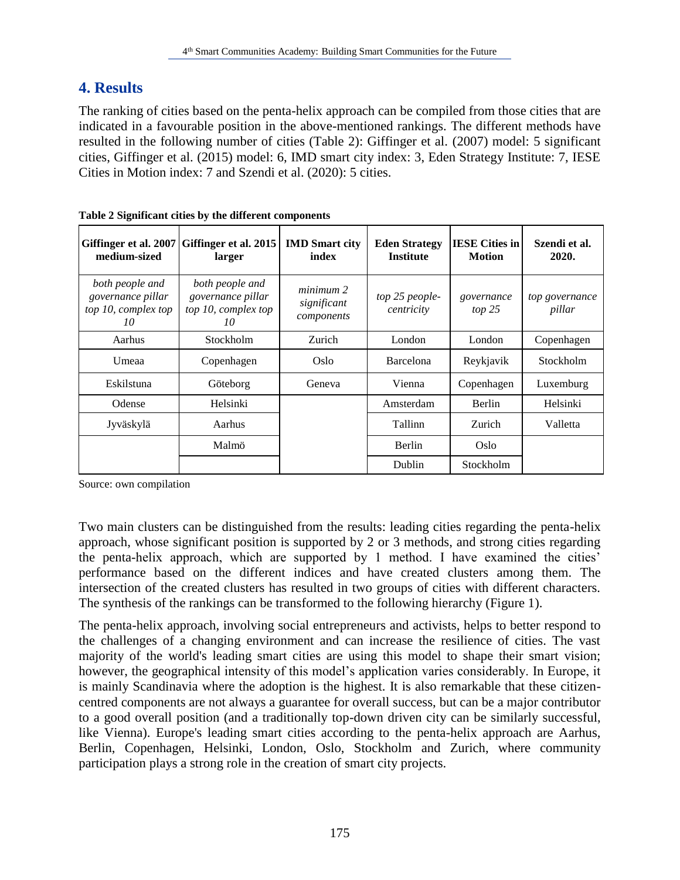## **4. Results**

The ranking of cities based on the penta-helix approach can be compiled from those cities that are indicated in a favourable position in the above-mentioned rankings. The different methods have resulted in the following number of cities (Table 2): Giffinger et al. (2007) model: 5 significant cities, Giffinger et al. (2015) model: 6, IMD smart city index: 3, Eden Strategy Institute: 7, IESE Cities in Motion index: 7 and Szendi et al. (2020): 5 cities.

| Giffinger et al. 2007<br>medium-sized                             | Giffinger et al. 2015<br>larger                                   | <b>IMD</b> Smart city<br>index         | <b>Eden Strategy</b><br><b>Institute</b> | <b>IESE Cities in</b><br><b>Motion</b> | Szendi et al.<br>2020.   |
|-------------------------------------------------------------------|-------------------------------------------------------------------|----------------------------------------|------------------------------------------|----------------------------------------|--------------------------|
| both people and<br>governance pillar<br>top 10, complex top<br>10 | both people and<br>governance pillar<br>top 10, complex top<br>10 | minimum 2<br>significant<br>components | top 25 people-<br>centricity             | governance<br>top 25                   | top governance<br>pillar |
| Aarhus                                                            | Stockholm                                                         |                                        | Zurich<br>London                         |                                        | Copenhagen               |
| Umeaa<br>Copenhagen                                               |                                                                   | Oslo                                   | <b>Barcelona</b>                         | Reykjavik                              | <b>Stockholm</b>         |
| Eskilstuna<br>Göteborg                                            |                                                                   | Geneva                                 | Vienna                                   | Copenhagen                             | Luxemburg                |
| Odense                                                            | Helsinki                                                          |                                        | Amsterdam                                | Berlin                                 | Helsinki                 |
| Jyväskylä                                                         | Aarhus                                                            |                                        | Tallinn                                  | Zurich                                 | Valletta                 |
|                                                                   | Malmö                                                             |                                        | Berlin                                   | Oslo                                   |                          |
|                                                                   |                                                                   |                                        | Dublin                                   | Stockholm                              |                          |

|  |  |  | Table 2 Significant cities by the different components |
|--|--|--|--------------------------------------------------------|
|  |  |  |                                                        |

Source: own compilation

Two main clusters can be distinguished from the results: leading cities regarding the penta-helix approach, whose significant position is supported by 2 or 3 methods, and strong cities regarding the penta-helix approach, which are supported by 1 method. I have examined the cities' performance based on the different indices and have created clusters among them. The intersection of the created clusters has resulted in two groups of cities with different characters. The synthesis of the rankings can be transformed to the following hierarchy (Figure 1).

The penta-helix approach, involving social entrepreneurs and activists, helps to better respond to the challenges of a changing environment and can increase the resilience of cities. The vast majority of the world's leading smart cities are using this model to shape their smart vision; however, the geographical intensity of this model's application varies considerably. In Europe, it is mainly Scandinavia where the adoption is the highest. It is also remarkable that these citizencentred components are not always a guarantee for overall success, but can be a major contributor to a good overall position (and a traditionally top-down driven city can be similarly successful, like Vienna). Europe's leading smart cities according to the penta-helix approach are Aarhus, Berlin, Copenhagen, Helsinki, London, Oslo, Stockholm and Zurich, where community participation plays a strong role in the creation of smart city projects.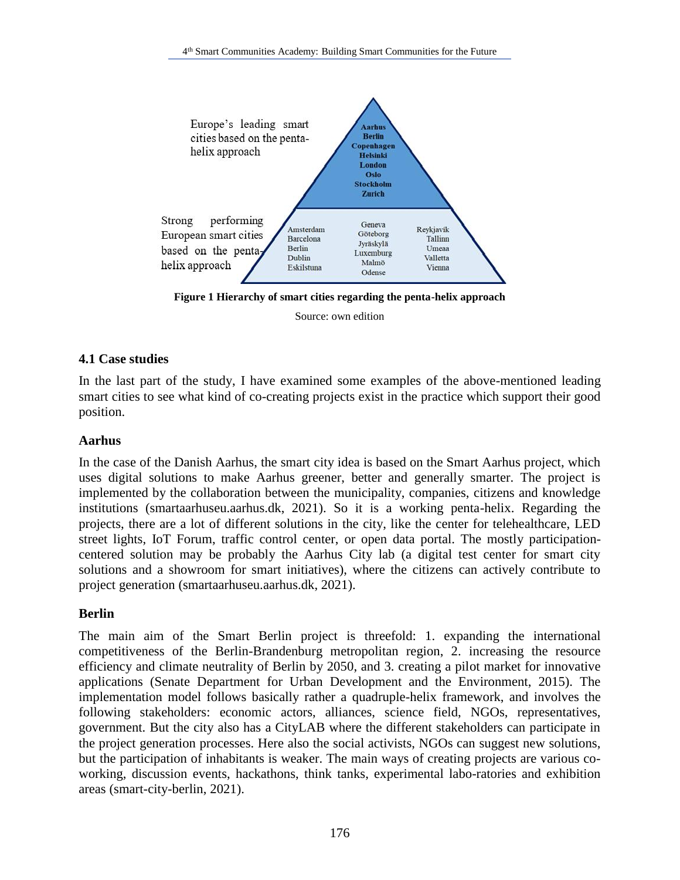

**Figure 1 Hierarchy of smart cities regarding the penta-helix approach**

Source: own edition

#### **4.1 Case studies**

In the last part of the study, I have examined some examples of the above-mentioned leading smart cities to see what kind of co-creating projects exist in the practice which support their good position.

#### **Aarhus**

In the case of the Danish Aarhus, the smart city idea is based on the Smart Aarhus project, which uses digital solutions to make Aarhus greener, better and generally smarter. The project is implemented by the collaboration between the municipality, companies, citizens and knowledge institutions (smartaarhuseu.aarhus.dk, 2021). So it is a working penta-helix. Regarding the projects, there are a lot of different solutions in the city, like the center for telehealthcare, LED street lights, IoT Forum, traffic control center, or open data portal. The mostly participationcentered solution may be probably the Aarhus City lab (a digital test center for smart city solutions and a showroom for smart initiatives), where the citizens can actively contribute to project generation (smartaarhuseu.aarhus.dk, 2021).

#### **Berlin**

The main aim of the Smart Berlin project is threefold: 1. expanding the international competitiveness of the Berlin-Brandenburg metropolitan region, 2. increasing the resource efficiency and climate neutrality of Berlin by 2050, and 3. creating a pilot market for innovative applications (Senate Department for Urban Development and the Environment, 2015). The implementation model follows basically rather a quadruple-helix framework, and involves the following stakeholders: economic actors, alliances, science field, NGOs, representatives, government. But the city also has a CityLAB where the different stakeholders can participate in the project generation processes. Here also the social activists, NGOs can suggest new solutions, but the participation of inhabitants is weaker. The main ways of creating projects are various coworking, discussion events, hackathons, think tanks, experimental labo-ratories and exhibition areas (smart-city-berlin, 2021).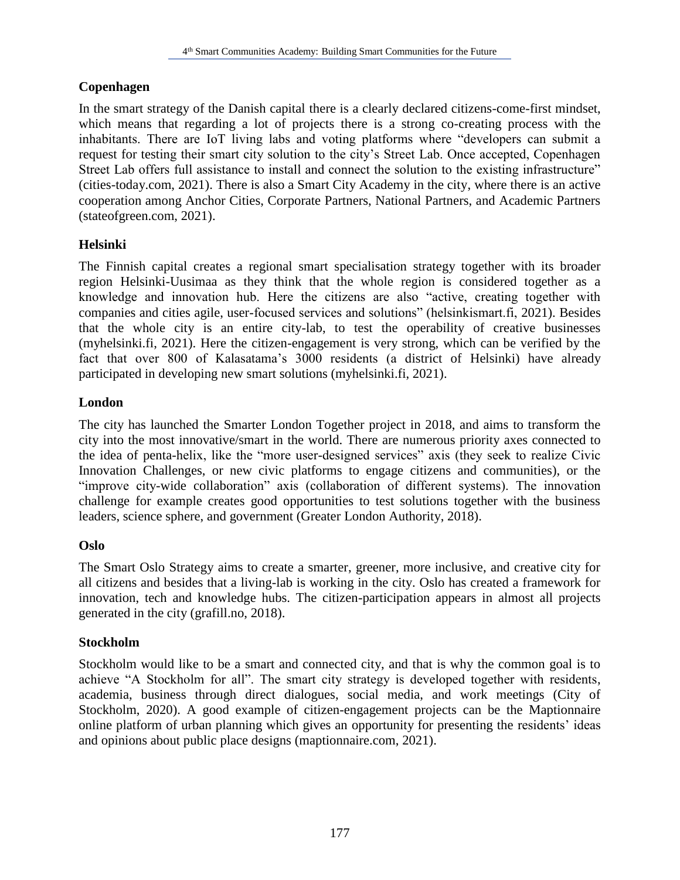### **Copenhagen**

In the smart strategy of the Danish capital there is a clearly declared citizens-come-first mindset, which means that regarding a lot of projects there is a strong co-creating process with the inhabitants. There are IoT living labs and voting platforms where "developers can submit a request for testing their smart city solution to the city's Street Lab. Once accepted, Copenhagen Street Lab offers full assistance to install and connect the solution to the existing infrastructure" (cities-today.com, 2021). There is also a Smart City Academy in the city, where there is an active cooperation among Anchor Cities, Corporate Partners, National Partners, and Academic Partners (stateofgreen.com, 2021).

### **Helsinki**

The Finnish capital creates a regional smart specialisation strategy together with its broader region Helsinki-Uusimaa as they think that the whole region is considered together as a knowledge and innovation hub. Here the citizens are also "active, creating together with companies and cities agile, user-focused services and solutions" (helsinkismart.fi, 2021). Besides that the whole city is an entire city-lab, to test the operability of creative businesses (myhelsinki.fi, 2021). Here the citizen-engagement is very strong, which can be verified by the fact that over 800 of Kalasatama's 3000 residents (a district of Helsinki) have already participated in developing new smart solutions (myhelsinki.fi, 2021).

### **London**

The city has launched the Smarter London Together project in 2018, and aims to transform the city into the most innovative/smart in the world. There are numerous priority axes connected to the idea of penta-helix, like the "more user-designed services" axis (they seek to realize Civic Innovation Challenges, or new civic platforms to engage citizens and communities), or the "improve city-wide collaboration" axis (collaboration of different systems). The innovation challenge for example creates good opportunities to test solutions together with the business leaders, science sphere, and government (Greater London Authority, 2018).

#### **Oslo**

The Smart Oslo Strategy aims to create a smarter, greener, more inclusive, and creative city for all citizens and besides that a living-lab is working in the city. Oslo has created a framework for innovation, tech and knowledge hubs. The citizen-participation appears in almost all projects generated in the city (grafill.no, 2018).

#### **Stockholm**

Stockholm would like to be a smart and connected city, and that is why the common goal is to achieve "A Stockholm for all". The smart city strategy is developed together with residents, academia, business through direct dialogues, social media, and work meetings (City of Stockholm, 2020). A good example of citizen-engagement projects can be the Maptionnaire online platform of urban planning which gives an opportunity for presenting the residents' ideas and opinions about public place designs (maptionnaire.com, 2021).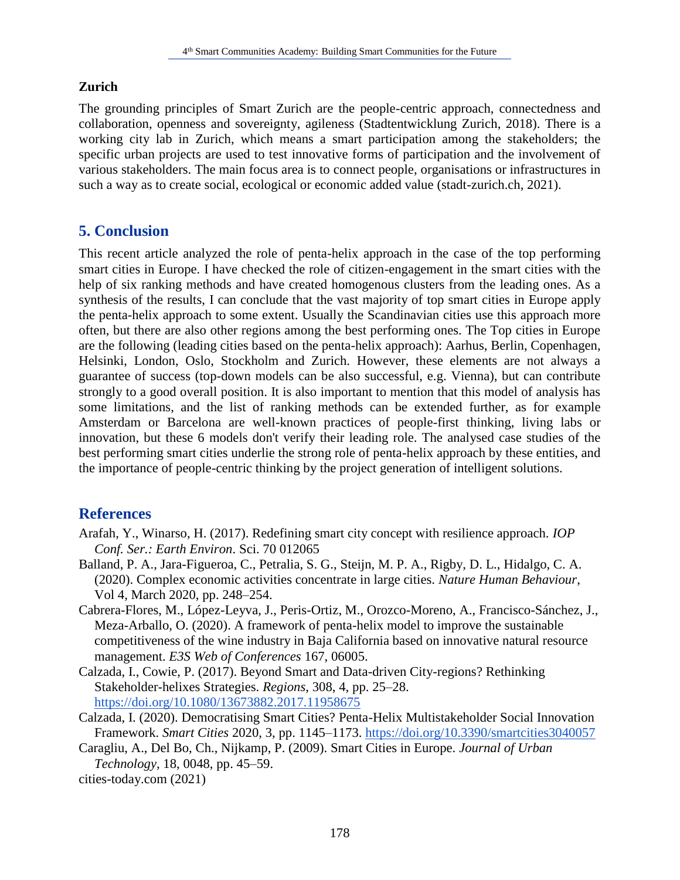#### **Zurich**

The grounding principles of Smart Zurich are the people-centric approach, connectedness and collaboration, openness and sovereignty, agileness (Stadtentwicklung Zurich, 2018). There is a working city lab in Zurich, which means a smart participation among the stakeholders; the specific urban projects are used to test innovative forms of participation and the involvement of various stakeholders. The main focus area is to connect people, organisations or infrastructures in such a way as to create social, ecological or economic added value (stadt-zurich.ch, 2021).

## **5. Conclusion**

This recent article analyzed the role of penta-helix approach in the case of the top performing smart cities in Europe. I have checked the role of citizen-engagement in the smart cities with the help of six ranking methods and have created homogenous clusters from the leading ones. As a synthesis of the results, I can conclude that the vast majority of top smart cities in Europe apply the penta-helix approach to some extent. Usually the Scandinavian cities use this approach more often, but there are also other regions among the best performing ones. The Top cities in Europe are the following (leading cities based on the penta-helix approach): Aarhus, Berlin, Copenhagen, Helsinki, London, Oslo, Stockholm and Zurich. However, these elements are not always a guarantee of success (top-down models can be also successful, e.g. Vienna), but can contribute strongly to a good overall position. It is also important to mention that this model of analysis has some limitations, and the list of ranking methods can be extended further, as for example Amsterdam or Barcelona are well-known practices of people-first thinking, living labs or innovation, but these 6 models don't verify their leading role. The analysed case studies of the best performing smart cities underlie the strong role of penta-helix approach by these entities, and the importance of people-centric thinking by the project generation of intelligent solutions.

#### **References**

- Arafah, Y., Winarso, H. (2017). Redefining smart city concept with resilience approach. *IOP Conf. Ser.: Earth Environ*. Sci. 70 012065
- Balland, P. A., Jara-Figueroa, C., Petralia, S. G., Steijn, M. P. A., Rigby, D. L., Hidalgo, C. A. (2020). Complex economic activities concentrate in large cities. *Nature Human Behaviour*, Vol 4, March 2020, pp. 248–254.
- Cabrera-Flores, M., López-Leyva, J., Peris-Ortiz, M., Orozco-Moreno, A., Francisco-Sánchez, J., Meza-Arballo, O. (2020). A framework of penta-helix model to improve the sustainable competitiveness of the wine industry in Baja California based on innovative natural resource management. *E3S Web of Conferences* 167, 06005.
- Calzada, I., Cowie, P. (2017). Beyond Smart and Data-driven City-regions? Rethinking Stakeholder-helixes Strategies. *Regions*, 308, 4, pp. 25–28. https://doi.org/10.1080/13673882.2017.11958675
- Calzada, I. (2020). Democratising Smart Cities? Penta-Helix Multistakeholder Social Innovation Framework. *Smart Cities* 2020, 3, pp. 1145–1173. https://doi.org/10.3390/smartcities3040057
- Caragliu, A., Del Bo, Ch., Nijkamp, P. (2009). Smart Cities in Europe. *Journal of Urban Technology,* 18, 0048, pp. 45–59.

cities-today.com (2021)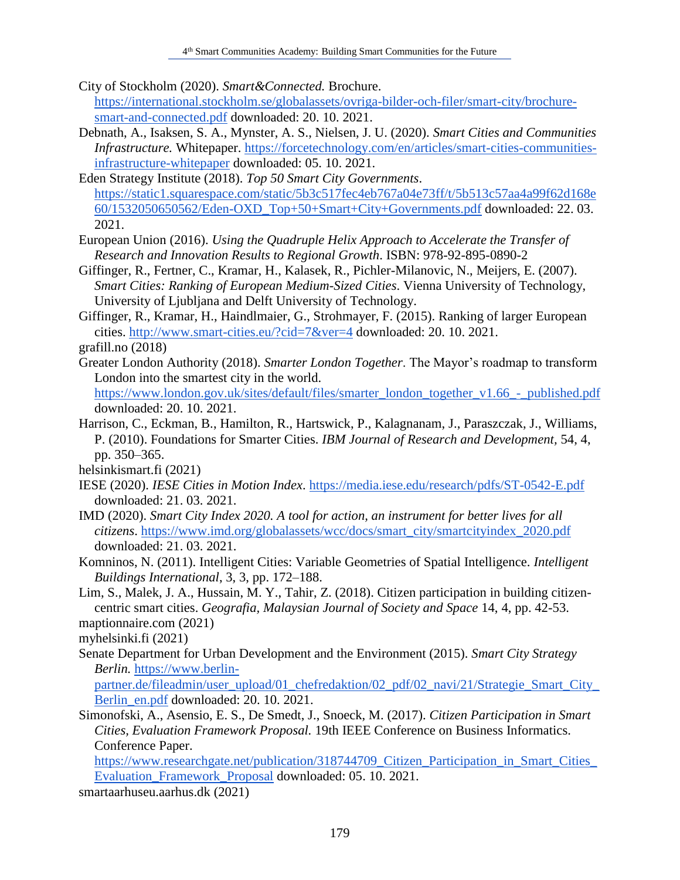City of Stockholm (2020). *Smart&Connected.* Brochure. https://international.stockholm.se/globalassets/ovriga-bilder-och-filer/smart-city/brochuresmart-and-connected.pdf downloaded: 20. 10. 2021.

Debnath, A., Isaksen, S. A., Mynster, A. S., Nielsen, J. U. (2020). *Smart Cities and Communities Infrastructure.* Whitepaper. https://forcetechnology.com/en/articles/smart-cities-communitiesinfrastructure-whitepaper downloaded: 05. 10. 2021.

Eden Strategy Institute (2018). *Top 50 Smart City Governments*. https://static1.squarespace.com/static/5b3c517fec4eb767a04e73ff/t/5b513c57aa4a99f62d168e 60/1532050650562/Eden-OXD\_Top+50+Smart+City+Governments.pdf downloaded: 22. 03. 2021.

- European Union (2016). *Using the Quadruple Helix Approach to Accelerate the Transfer of Research and Innovation Results to Regional Growth*. ISBN: 978-92-895-0890-2
- Giffinger, R., Fertner, C., Kramar, H., Kalasek, R., Pichler-Milanovic, N., Meijers, E. (2007). *Smart Cities: Ranking of European Medium-Sized Cities*. Vienna University of Technology, University of Ljubljana and Delft University of Technology.
- Giffinger, R., Kramar, H., Haindlmaier, G., Strohmayer, F. (2015). Ranking of larger European cities. http://www.smart-cities.eu/?cid=7&ver=4 downloaded: 20. 10. 2021.
- grafill.no (2018)
- Greater London Authority (2018). *Smarter London Together*. The Mayor's roadmap to transform London into the smartest city in the world.

https://www.london.gov.uk/sites/default/files/smarter\_london\_together\_v1.66\_-\_published.pdf downloaded: 20. 10. 2021.

Harrison, C., Eckman, B., Hamilton, R., Hartswick, P., Kalagnanam, J., Paraszczak, J., Williams, P. (2010). Foundations for Smarter Cities. *IBM Journal of Research and Development,* 54, 4, pp. 350–365.

helsinkismart.fi (2021)

- IESE (2020). *IESE Cities in Motion Index*. https://media.iese.edu/research/pdfs/ST-0542-E.pdf downloaded: 21. 03. 2021.
- IMD (2020). *Smart City Index 2020. A tool for action, an instrument for better lives for all citizens*. https://www.imd.org/globalassets/wcc/docs/smart\_city/smartcityindex\_2020.pdf downloaded: 21. 03. 2021.
- Komninos, N. (2011). Intelligent Cities: Variable Geometries of Spatial Intelligence. *Intelligent Buildings International*, 3, 3, pp. 172–188.
- Lim, S., Malek, J. A., Hussain, M. Y., Tahir, Z. (2018). Citizen participation in building citizencentric smart cities. *Geografia, Malaysian Journal of Society and Space* 14, 4, pp. 42-53. maptionnaire.com (2021)

myhelsinki.fi (2021)

Senate Department for Urban Development and the Environment (2015). *Smart City Strategy Berlin.* https://www.berlin-

partner.de/fileadmin/user\_upload/01\_chefredaktion/02\_pdf/02\_navi/21/Strategie\_Smart\_City\_ Berlin en.pdf downloaded: 20. 10. 2021.

Simonofski, A., Asensio, E. S., De Smedt, J., Snoeck, M. (2017). *Citizen Participation in Smart Cities, Evaluation Framework Proposal.* 19th IEEE Conference on Business Informatics. Conference Paper.

https://www.researchgate.net/publication/318744709\_Citizen\_Participation\_in\_Smart\_Cities\_ Evaluation\_Framework\_Proposal downloaded: 05. 10. 2021.

smartaarhuseu.aarhus.dk (2021)